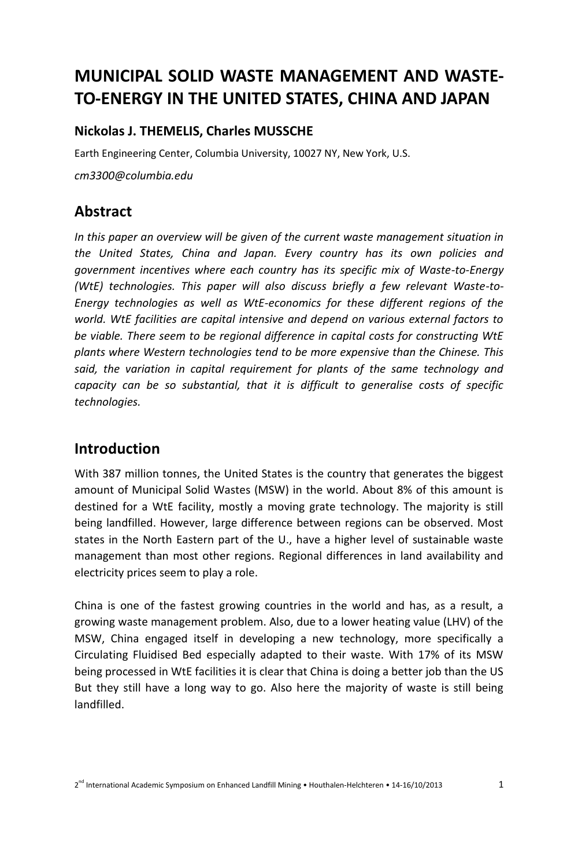# **MUNICIPAL SOLID WASTE MANAGEMENT AND WASTE-TO-ENERGY IN THE UNITED STATES, CHINA AND JAPAN**

#### **Nickolas J. THEMELIS, Charles MUSSCHE**

Earth Engineering Center, Columbia University, 10027 NY, New York, U.S.

*cm3300@columbia.edu*

# **Abstract**

*In this paper an overview will be given of the current waste management situation in the United States, China and Japan. Every country has its own policies and government incentives where each country has its specific mix of Waste-to-Energy (WtE) technologies. This paper will also discuss briefly a few relevant Waste-to-Energy technologies as well as WtE-economics for these different regions of the world. WtE facilities are capital intensive and depend on various external factors to be viable. There seem to be regional difference in capital costs for constructing WtE plants where Western technologies tend to be more expensive than the Chinese. This said, the variation in capital requirement for plants of the same technology and capacity can be so substantial, that it is difficult to generalise costs of specific technologies.*

# **Introduction**

With 387 million tonnes, the United States is the country that generates the biggest amount of Municipal Solid Wastes (MSW) in the world. About 8% of this amount is destined for a WtE facility, mostly a moving grate technology. The majority is still being landfilled. However, large difference between regions can be observed. Most states in the North Eastern part of the U., have a higher level of sustainable waste management than most other regions. Regional differences in land availability and electricity prices seem to play a role.

China is one of the fastest growing countries in the world and has, as a result, a growing waste management problem. Also, due to a lower heating value (LHV) of the MSW, China engaged itself in developing a new technology, more specifically a Circulating Fluidised Bed especially adapted to their waste. With 17% of its MSW being processed in WtE facilities it is clear that China is doing a better job than the US But they still have a long way to go. Also here the majority of waste is still being landfilled.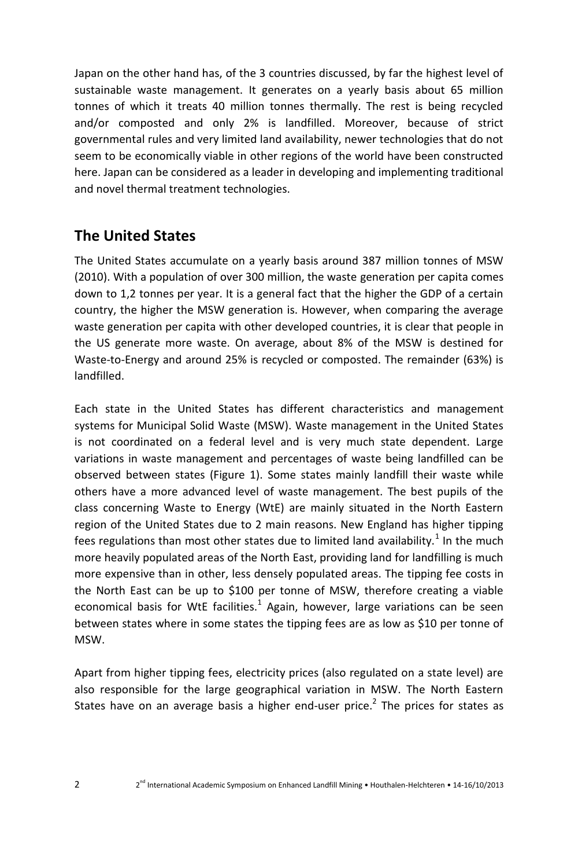Japan on the other hand has, of the 3 countries discussed, by far the highest level of sustainable waste management. It generates on a yearly basis about 65 million tonnes of which it treats 40 million tonnes thermally. The rest is being recycled and/or composted and only 2% is landfilled. Moreover, because of strict governmental rules and very limited land availability, newer technologies that do not seem to be economically viable in other regions of the world have been constructed here. Japan can be considered as a leader in developing and implementing traditional and novel thermal treatment technologies.

# **The United States**

The United States accumulate on a yearly basis around 387 million tonnes of MSW (2010). With a population of over 300 million, the waste generation per capita comes down to 1,2 tonnes per year. It is a general fact that the higher the GDP of a certain country, the higher the MSW generation is. However, when comparing the average waste generation per capita with other developed countries, it is clear that people in the US generate more waste. On average, about 8% of the MSW is destined for Waste-to-Energy and around 25% is recycled or composted. The remainder (63%) is landfilled.

Each state in the United States has different characteristics and management systems for Municipal Solid Waste (MSW). Waste management in the United States is not coordinated on a federal level and is very much state dependent. Large variations in waste management and percentages of waste being landfilled can be observed between states (Figure 1). Some states mainly landfill their waste while others have a more advanced level of waste management. The best pupils of the class concerning Waste to Energy (WtE) are mainly situated in the North Eastern region of the United States due to 2 main reasons. New England has higher tipping fees regulations than most other states due to limited land availability.<sup>1</sup> In the much more heavily populated areas of the North East, providing land for landfilling is much more expensive than in other, less densely populated areas. The tipping fee costs in the North East can be up to \$100 per tonne of MSW, therefore creating a viable economical basis for WtE facilities. $<sup>1</sup>$  Again, however, large variations can be seen</sup> between states where in some states the tipping fees are as low as \$10 per tonne of MSW.

Apart from higher tipping fees, electricity prices (also regulated on a state level) are also responsible for the large geographical variation in MSW. The North Eastern States have on an average basis a higher end-user price.<sup>2</sup> The prices for states as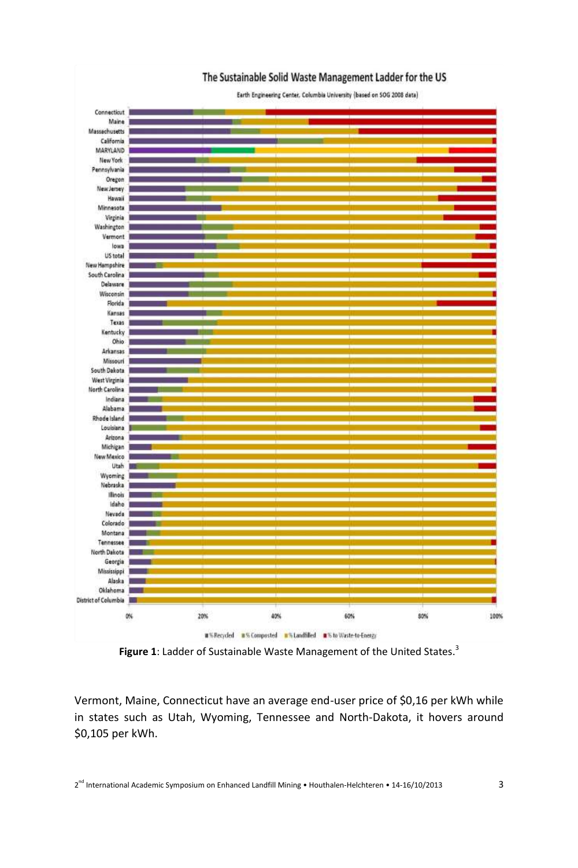

**Figure 1**: Ladder of Sustainable Waste Management of the United States. 3

Vermont, Maine, Connecticut have an average end-user price of \$0,16 per kWh while in states such as Utah, Wyoming, Tennessee and North-Dakota, it hovers around \$0,105 per kWh.

 $2^{nd}$  International Academic Symposium on Enhanced Landfill Mining • Houthalen-Helchteren • 14-16/10/2013 3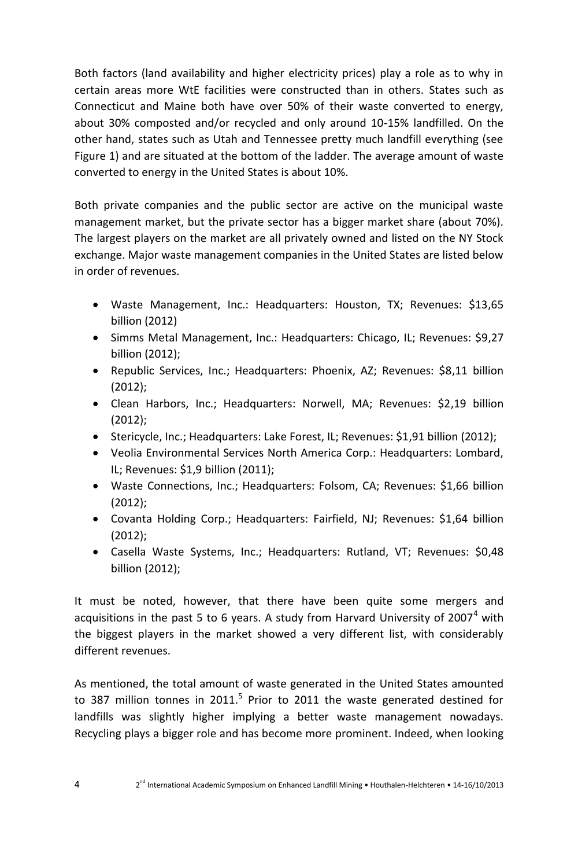Both factors (land availability and higher electricity prices) play a role as to why in certain areas more WtE facilities were constructed than in others. States such as Connecticut and Maine both have over 50% of their waste converted to energy, about 30% composted and/or recycled and only around 10-15% landfilled. On the other hand, states such as Utah and Tennessee pretty much landfill everything (see Figure 1) and are situated at the bottom of the ladder. The average amount of waste converted to energy in the United States is about 10%.

Both private companies and the public sector are active on the municipal waste management market, but the private sector has a bigger market share (about 70%). The largest players on the market are all privately owned and listed on the NY Stock exchange. Major waste management companies in the United States are listed below in order of revenues.

- Waste Management, Inc.: Headquarters: Houston, TX; Revenues: \$13,65 billion (2012)
- Simms Metal Management, Inc.: Headquarters: Chicago, IL; Revenues: \$9,27 billion (2012);
- Republic Services, Inc.; Headquarters: Phoenix, AZ; Revenues: \$8,11 billion (2012);
- Clean Harbors, Inc.; Headquarters: Norwell, MA; Revenues: \$2,19 billion (2012);
- Stericycle, Inc.; Headquarters: Lake Forest, IL; Revenues: \$1,91 billion (2012);
- Veolia Environmental Services North America Corp.: Headquarters: Lombard, IL; Revenues: \$1,9 billion (2011);
- Waste Connections, Inc.; Headquarters: Folsom, CA; Revenues: \$1,66 billion (2012);
- Covanta Holding Corp.; Headquarters: Fairfield, NJ; Revenues: \$1,64 billion (2012);
- Casella Waste Systems, Inc.; Headquarters: Rutland, VT; Revenues: \$0,48 billion (2012);

It must be noted, however, that there have been quite some mergers and acquisitions in the past 5 to 6 years. A study from Harvard University of 2007<sup>4</sup> with the biggest players in the market showed a very different list, with considerably different revenues.

As mentioned, the total amount of waste generated in the United States amounted to 387 million tonnes in 2011.<sup>5</sup> Prior to 2011 the waste generated destined for landfills was slightly higher implying a better waste management nowadays. Recycling plays a bigger role and has become more prominent. Indeed, when looking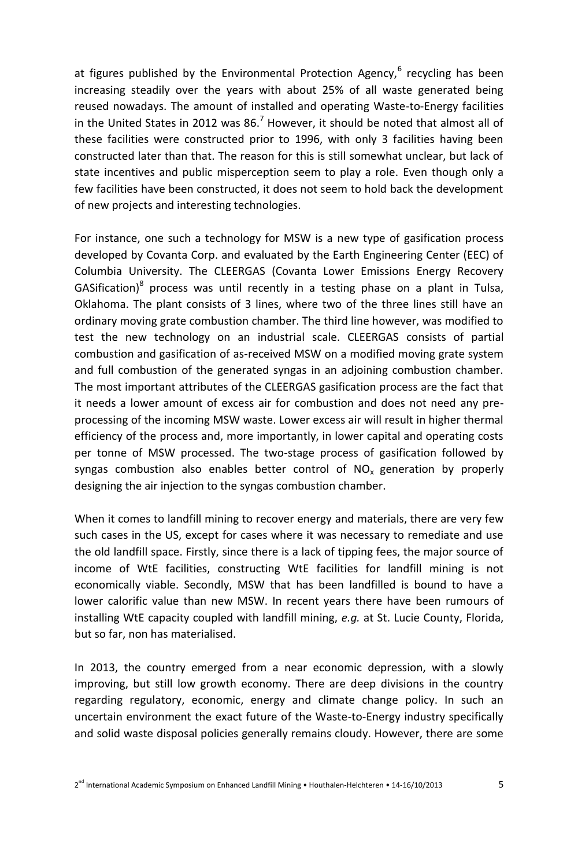at figures published by the Environmental Protection Agency,<sup>6</sup> recycling has been increasing steadily over the years with about 25% of all waste generated being reused nowadays. The amount of installed and operating Waste-to-Energy facilities in the United States in 2012 was  $86<sup>7</sup>$  However, it should be noted that almost all of these facilities were constructed prior to 1996, with only 3 facilities having been constructed later than that. The reason for this is still somewhat unclear, but lack of state incentives and public misperception seem to play a role. Even though only a few facilities have been constructed, it does not seem to hold back the development of new projects and interesting technologies.

For instance, one such a technology for MSW is a new type of gasification process developed by Covanta Corp. and evaluated by the Earth Engineering Center (EEC) of Columbia University. The CLEERGAS (Covanta Lower Emissions Energy Recovery GASification)<sup>8</sup> process was until recently in a testing phase on a plant in Tulsa, Oklahoma. The plant consists of 3 lines, where two of the three lines still have an ordinary moving grate combustion chamber. The third line however, was modified to test the new technology on an industrial scale. CLEERGAS consists of partial combustion and gasification of as-received MSW on a modified moving grate system and full combustion of the generated syngas in an adjoining combustion chamber. The most important attributes of the CLEERGAS gasification process are the fact that it needs a lower amount of excess air for combustion and does not need any preprocessing of the incoming MSW waste. Lower excess air will result in higher thermal efficiency of the process and, more importantly, in lower capital and operating costs per tonne of MSW processed. The two-stage process of gasification followed by syngas combustion also enables better control of  $NO<sub>x</sub>$  generation by properly designing the air injection to the syngas combustion chamber.

When it comes to landfill mining to recover energy and materials, there are very few such cases in the US, except for cases where it was necessary to remediate and use the old landfill space. Firstly, since there is a lack of tipping fees, the major source of income of WtE facilities, constructing WtE facilities for landfill mining is not economically viable. Secondly, MSW that has been landfilled is bound to have a lower calorific value than new MSW. In recent years there have been rumours of installing WtE capacity coupled with landfill mining, *e.g.* at St. Lucie County, Florida, but so far, non has materialised.

In 2013, the country emerged from a near economic depression, with a slowly improving, but still low growth economy. There are deep divisions in the country regarding regulatory, economic, energy and climate change policy. In such an uncertain environment the exact future of the Waste-to-Energy industry specifically and solid waste disposal policies generally remains cloudy. However, there are some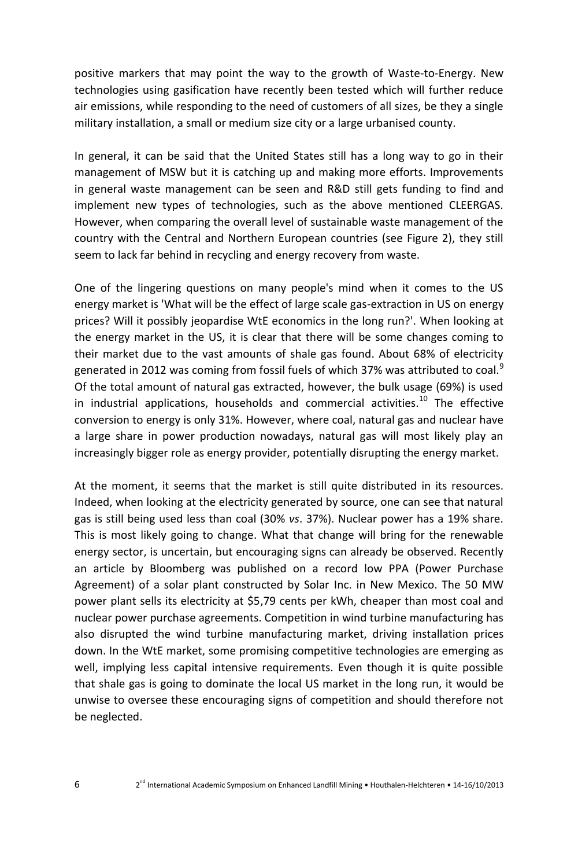positive markers that may point the way to the growth of Waste-to-Energy. New technologies using gasification have recently been tested which will further reduce air emissions, while responding to the need of customers of all sizes, be they a single military installation, a small or medium size city or a large urbanised county.

In general, it can be said that the United States still has a long way to go in their management of MSW but it is catching up and making more efforts. Improvements in general waste management can be seen and R&D still gets funding to find and implement new types of technologies, such as the above mentioned CLEERGAS. However, when comparing the overall level of sustainable waste management of the country with the Central and Northern European countries (see Figure 2), they still seem to lack far behind in recycling and energy recovery from waste.

One of the lingering questions on many people's mind when it comes to the US energy market is 'What will be the effect of large scale gas-extraction in US on energy prices? Will it possibly jeopardise WtE economics in the long run?'. When looking at the energy market in the US, it is clear that there will be some changes coming to their market due to the vast amounts of shale gas found. About 68% of electricity generated in 2012 was coming from fossil fuels of which 37% was attributed to coal.<sup>9</sup> Of the total amount of natural gas extracted, however, the bulk usage (69%) is used in industrial applications, households and commercial activities. $^{10}$  The effective conversion to energy is only 31%. However, where coal, natural gas and nuclear have a large share in power production nowadays, natural gas will most likely play an increasingly bigger role as energy provider, potentially disrupting the energy market.

At the moment, it seems that the market is still quite distributed in its resources. Indeed, when looking at the electricity generated by source, one can see that natural gas is still being used less than coal (30% *vs*. 37%). Nuclear power has a 19% share. This is most likely going to change. What that change will bring for the renewable energy sector, is uncertain, but encouraging signs can already be observed. Recently an article by Bloomberg was published on a record low PPA (Power Purchase Agreement) of a solar plant constructed by Solar Inc. in New Mexico. The 50 MW power plant sells its electricity at \$5,79 cents per kWh, cheaper than most coal and nuclear power purchase agreements. Competition in wind turbine manufacturing has also disrupted the wind turbine manufacturing market, driving installation prices down. In the WtE market, some promising competitive technologies are emerging as well, implying less capital intensive requirements. Even though it is quite possible that shale gas is going to dominate the local US market in the long run, it would be unwise to oversee these encouraging signs of competition and should therefore not be neglected.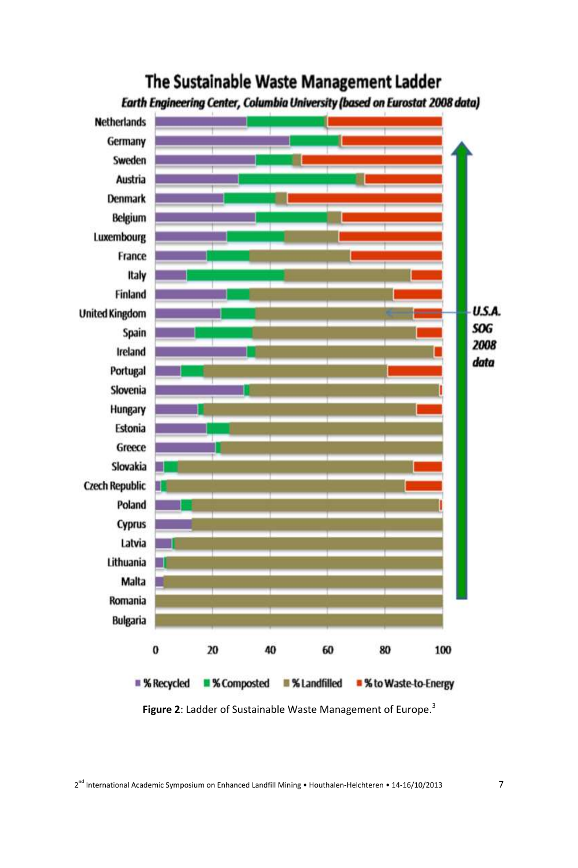

# The Sustainable Waste Management Ladder

**Figure 2**: Ladder of Sustainable Waste Management of Europe. 3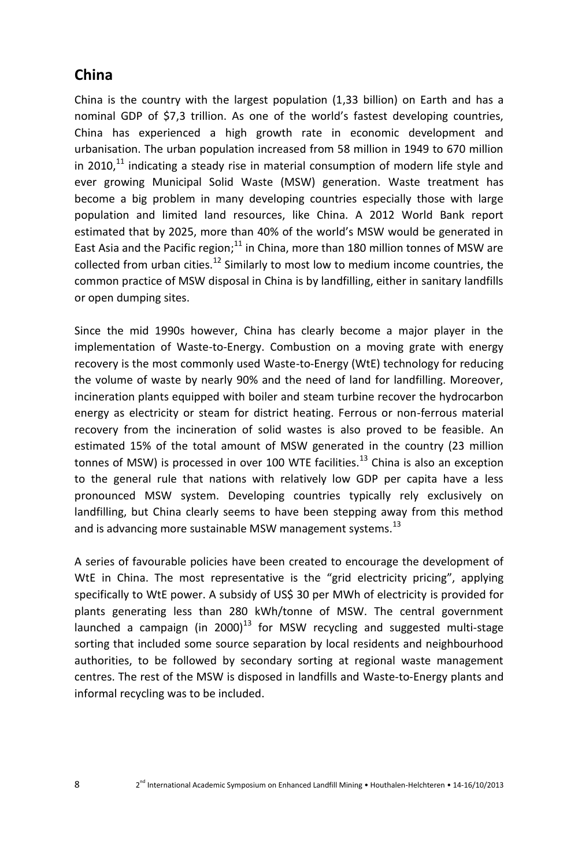# **China**

China is the country with the largest population (1,33 billion) on Earth and has a nominal GDP of \$7,3 trillion. As one of the world's fastest developing countries, China has experienced a high growth rate in economic development and urbanisation. The urban population increased from 58 million in 1949 to 670 million in 2010, $^{11}$  indicating a steady rise in material consumption of modern life style and ever growing Municipal Solid Waste (MSW) generation. Waste treatment has become a big problem in many developing countries especially those with large population and limited land resources, like China. A 2012 World Bank report estimated that by 2025, more than 40% of the world's MSW would be generated in East Asia and the Pacific region; $^{11}$  in China, more than 180 million tonnes of MSW are collected from urban cities.<sup>12</sup> Similarly to most low to medium income countries, the common practice of MSW disposal in China is by landfilling, either in sanitary landfills or open dumping sites.

Since the mid 1990s however, China has clearly become a major player in the implementation of Waste-to-Energy. Combustion on a moving grate with energy recovery is the most commonly used Waste-to-Energy (WtE) technology for reducing the volume of waste by nearly 90% and the need of land for landfilling. Moreover, incineration plants equipped with boiler and steam turbine recover the hydrocarbon energy as electricity or steam for district heating. Ferrous or non-ferrous material recovery from the incineration of solid wastes is also proved to be feasible. An estimated 15% of the total amount of MSW generated in the country (23 million tonnes of MSW) is processed in over 100 WTE facilities.<sup>13</sup> China is also an exception to the general rule that nations with relatively low GDP per capita have a less pronounced MSW system. Developing countries typically rely exclusively on landfilling, but China clearly seems to have been stepping away from this method and is advancing more sustainable MSW management systems.<sup>13</sup>

A series of favourable policies have been created to encourage the development of WtE in China. The most representative is the "grid electricity pricing", applying specifically to WtE power. A subsidy of US\$ 30 per MWh of electricity is provided for plants generating less than 280 kWh/tonne of MSW. The central government launched a campaign (in 2000)<sup>13</sup> for MSW recycling and suggested multi-stage sorting that included some source separation by local residents and neighbourhood authorities, to be followed by secondary sorting at regional waste management centres. The rest of the MSW is disposed in landfills and Waste-to-Energy plants and informal recycling was to be included.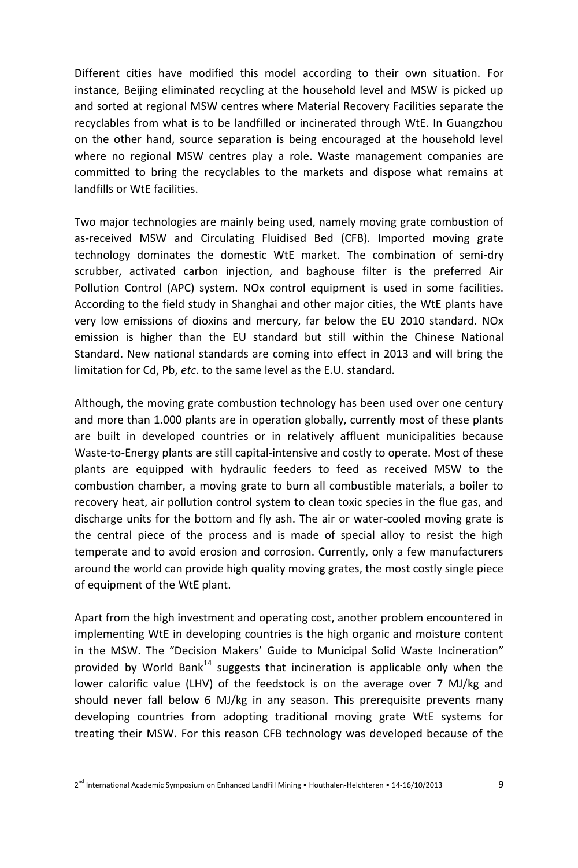Different cities have modified this model according to their own situation. For instance, Beijing eliminated recycling at the household level and MSW is picked up and sorted at regional MSW centres where Material Recovery Facilities separate the recyclables from what is to be landfilled or incinerated through WtE. In Guangzhou on the other hand, source separation is being encouraged at the household level where no regional MSW centres play a role. Waste management companies are committed to bring the recyclables to the markets and dispose what remains at landfills or WtE facilities.

Two major technologies are mainly being used, namely moving grate combustion of as-received MSW and Circulating Fluidised Bed (CFB). Imported moving grate technology dominates the domestic WtE market. The combination of semi-dry scrubber, activated carbon injection, and baghouse filter is the preferred Air Pollution Control (APC) system. NOx control equipment is used in some facilities. According to the field study in Shanghai and other major cities, the WtE plants have very low emissions of dioxins and mercury, far below the EU 2010 standard. NOx emission is higher than the EU standard but still within the Chinese National Standard. New national standards are coming into effect in 2013 and will bring the limitation for Cd, Pb, *etc*. to the same level as the E.U. standard.

Although, the moving grate combustion technology has been used over one century and more than 1.000 plants are in operation globally, currently most of these plants are built in developed countries or in relatively affluent municipalities because Waste-to-Energy plants are still capital-intensive and costly to operate. Most of these plants are equipped with hydraulic feeders to feed as received MSW to the combustion chamber, a moving grate to burn all combustible materials, a boiler to recovery heat, air pollution control system to clean toxic species in the flue gas, and discharge units for the bottom and fly ash. The air or water-cooled moving grate is the central piece of the process and is made of special alloy to resist the high temperate and to avoid erosion and corrosion. Currently, only a few manufacturers around the world can provide high quality moving grates, the most costly single piece of equipment of the WtE plant.

Apart from the high investment and operating cost, another problem encountered in implementing WtE in developing countries is the high organic and moisture content in the MSW. The "Decision Makers' Guide to Municipal Solid Waste Incineration" provided by World Bank<sup>14</sup> suggests that incineration is applicable only when the lower calorific value (LHV) of the feedstock is on the average over 7 MJ/kg and should never fall below 6 MJ/kg in any season. This prerequisite prevents many developing countries from adopting traditional moving grate WtE systems for treating their MSW. For this reason CFB technology was developed because of the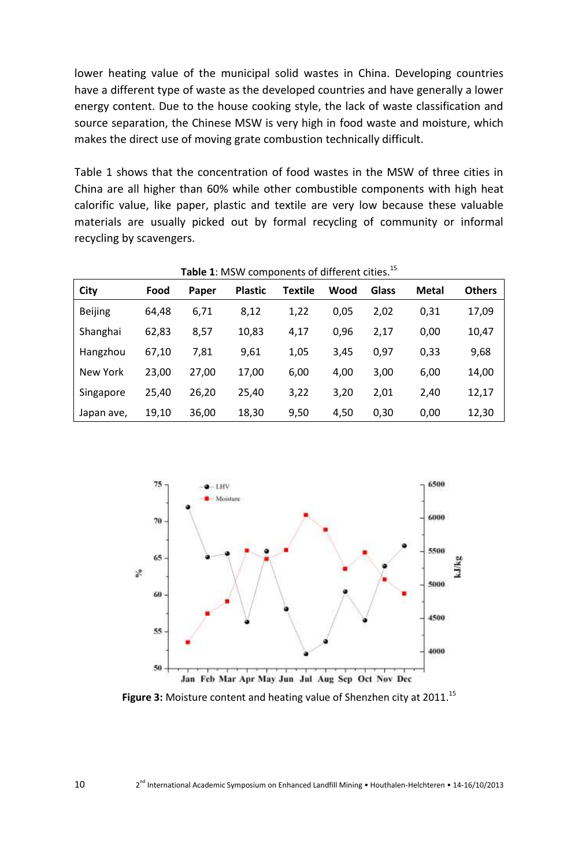lower heating value of the municipal solid wastes in China. Developing countries have a different type of waste as the developed countries and have generally a lower energy content. Due to the house cooking style, the lack of waste classification and source separation, the Chinese MSW is very high in food waste and moisture, which makes the direct use of moving grate combustion technically difficult.

Table 1 shows that the concentration of food wastes in the MSW of three cities in China are all higher than 60% while other combustible components with high heat calorific value, like paper, plastic and textile are very low because these valuable materials are usually picked out by formal recycling of community or informal recycling by scavengers.

| Table 1: MSW components of different cities. <sup>15</sup> |       |       |                |         |      |       |              |               |  |
|------------------------------------------------------------|-------|-------|----------------|---------|------|-------|--------------|---------------|--|
| City                                                       | Food  | Paper | <b>Plastic</b> | Textile | Wood | Glass | <b>Metal</b> | <b>Others</b> |  |
| <b>Beijing</b>                                             | 64,48 | 6,71  | 8,12           | 1,22    | 0,05 | 2,02  | 0,31         | 17,09         |  |
| Shanghai                                                   | 62,83 | 8,57  | 10,83          | 4,17    | 0,96 | 2,17  | 0,00         | 10,47         |  |
| Hangzhou                                                   | 67,10 | 7,81  | 9,61           | 1,05    | 3,45 | 0,97  | 0,33         | 9,68          |  |
| New York                                                   | 23,00 | 27,00 | 17,00          | 6,00    | 4,00 | 3,00  | 6,00         | 14,00         |  |
| Singapore                                                  | 25,40 | 26,20 | 25,40          | 3,22    | 3,20 | 2,01  | 2,40         | 12,17         |  |
| Japan ave,                                                 | 19,10 | 36,00 | 18,30          | 9,50    | 4,50 | 0,30  | 0,00         | 12,30         |  |



**Figure 3:** Moisture content and heating value of Shenzhen city at 2011. 15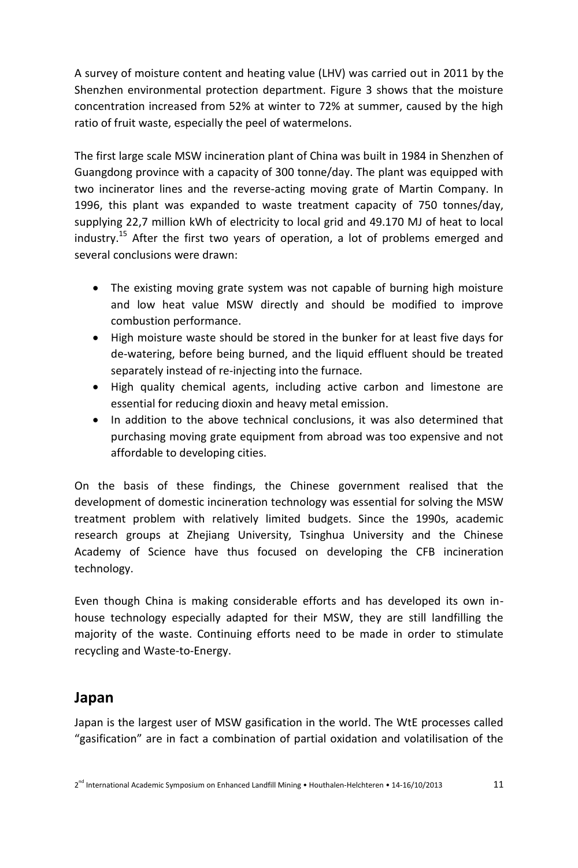A survey of moisture content and heating value (LHV) was carried out in 2011 by the Shenzhen environmental protection department. Figure 3 shows that the moisture concentration increased from 52% at winter to 72% at summer, caused by the high ratio of fruit waste, especially the peel of watermelons.

The first large scale MSW incineration plant of China was built in 1984 in Shenzhen of Guangdong province with a capacity of 300 tonne/day. The plant was equipped with two incinerator lines and the reverse-acting moving grate of Martin Company. In 1996, this plant was expanded to waste treatment capacity of 750 tonnes/day, supplying 22,7 million kWh of electricity to local grid and 49.170 MJ of heat to local industry.<sup>15</sup> After the first two years of operation, a lot of problems emerged and several conclusions were drawn:

- The existing moving grate system was not capable of burning high moisture and low heat value MSW directly and should be modified to improve combustion performance.
- High moisture waste should be stored in the bunker for at least five days for de-watering, before being burned, and the liquid effluent should be treated separately instead of re-injecting into the furnace.
- High quality chemical agents, including active carbon and limestone are essential for reducing dioxin and heavy metal emission.
- In addition to the above technical conclusions, it was also determined that purchasing moving grate equipment from abroad was too expensive and not affordable to developing cities.

On the basis of these findings, the Chinese government realised that the development of domestic incineration technology was essential for solving the MSW treatment problem with relatively limited budgets. Since the 1990s, academic research groups at Zhejiang University, Tsinghua University and the Chinese Academy of Science have thus focused on developing the CFB incineration technology.

Even though China is making considerable efforts and has developed its own inhouse technology especially adapted for their MSW, they are still landfilling the majority of the waste. Continuing efforts need to be made in order to stimulate recycling and Waste-to-Energy.

#### **Japan**

Japan is the largest user of MSW gasification in the world. The WtE processes called "gasification" are in fact a combination of partial oxidation and volatilisation of the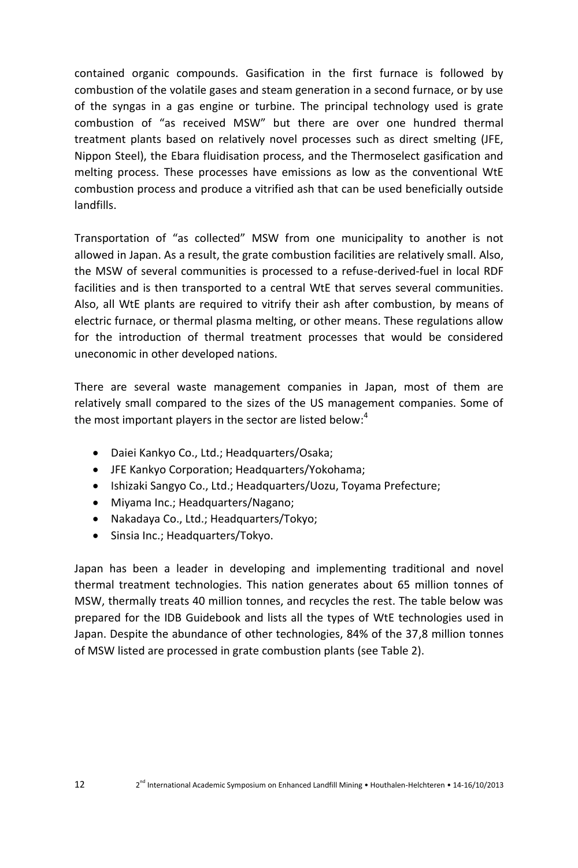contained organic compounds. Gasification in the first furnace is followed by combustion of the volatile gases and steam generation in a second furnace, or by use of the syngas in a gas engine or turbine. The principal technology used is grate combustion of "as received MSW" but there are over one hundred thermal treatment plants based on relatively novel processes such as direct smelting (JFE, Nippon Steel), the Ebara fluidisation process, and the Thermoselect gasification and melting process. These processes have emissions as low as the conventional WtE combustion process and produce a vitrified ash that can be used beneficially outside landfills.

Transportation of "as collected" MSW from one municipality to another is not allowed in Japan. As a result, the grate combustion facilities are relatively small. Also, the MSW of several communities is processed to a refuse-derived-fuel in local RDF facilities and is then transported to a central WtE that serves several communities. Also, all WtE plants are required to vitrify their ash after combustion, by means of electric furnace, or thermal plasma melting, or other means. These regulations allow for the introduction of thermal treatment processes that would be considered uneconomic in other developed nations.

There are several waste management companies in Japan, most of them are relatively small compared to the sizes of the US management companies. Some of the most important players in the sector are listed below:<sup>4</sup>

- Daiei Kankyo Co., Ltd.; Headquarters/Osaka;
- JFE Kankyo Corporation; Headquarters/Yokohama;
- Ishizaki Sangyo Co., Ltd.; Headquarters/Uozu, Toyama Prefecture;
- Miyama Inc.; Headquarters/Nagano;
- Nakadaya Co., Ltd.; Headquarters/Tokyo;
- Sinsia Inc.; Headquarters/Tokyo.

Japan has been a leader in developing and implementing traditional and novel thermal treatment technologies. This nation generates about 65 million tonnes of MSW, thermally treats 40 million tonnes, and recycles the rest. The table below was prepared for the IDB Guidebook and lists all the types of WtE technologies used in Japan. Despite the abundance of other technologies, 84% of the 37,8 million tonnes of MSW listed are processed in grate combustion plants (see Table 2).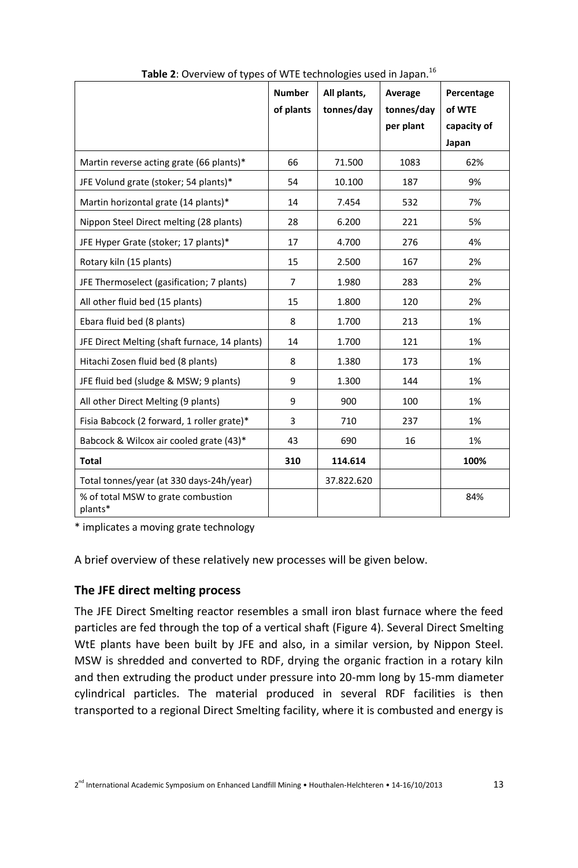|                                               | <b>Number</b>  | All plants, | Average    | Percentage  |
|-----------------------------------------------|----------------|-------------|------------|-------------|
|                                               | of plants      | tonnes/day  | tonnes/day | of WTE      |
|                                               |                |             | per plant  | capacity of |
|                                               |                |             |            | Japan       |
| Martin reverse acting grate (66 plants)*      | 66             | 71.500      | 1083       | 62%         |
| JFE Volund grate (stoker; 54 plants)*         | 54             | 10.100      | 187        | 9%          |
| Martin horizontal grate (14 plants)*          | 14             | 7.454       | 532        | 7%          |
| Nippon Steel Direct melting (28 plants)       | 28             | 6.200       | 221        | 5%          |
| JFE Hyper Grate (stoker; 17 plants)*          | 17             | 4.700       | 276        | 4%          |
| Rotary kiln (15 plants)                       | 15             | 2.500       | 167        | 2%          |
| JFE Thermoselect (gasification; 7 plants)     | $\overline{7}$ | 1.980       | 283        | 2%          |
| All other fluid bed (15 plants)               | 15             | 1.800       | 120        | 2%          |
| Ebara fluid bed (8 plants)                    | 8              | 1.700       | 213        | 1%          |
| JFE Direct Melting (shaft furnace, 14 plants) | 14             | 1.700       | 121        | 1%          |
| Hitachi Zosen fluid bed (8 plants)            | 8              | 1.380       | 173        | 1%          |
| JFE fluid bed (sludge & MSW; 9 plants)        | 9              | 1.300       | 144        | 1%          |
| All other Direct Melting (9 plants)           | 9              | 900         | 100        | 1%          |
| Fisia Babcock (2 forward, 1 roller grate)*    | 3              | 710         | 237        | 1%          |
| Babcock & Wilcox air cooled grate (43)*       | 43             | 690         | 16         | 1%          |
| <b>Total</b>                                  | 310            | 114.614     |            | 100%        |
| Total tonnes/year (at 330 days-24h/year)      |                | 37.822.620  |            |             |
| % of total MSW to grate combustion<br>plants* |                |             |            | 84%         |

**Table 2**: Overview of types of WTE technologies used in Japan. 16

\* implicates a moving grate technology

A brief overview of these relatively new processes will be given below.

#### **The JFE direct melting process**

The JFE Direct Smelting reactor resembles a small iron blast furnace where the feed particles are fed through the top of a vertical shaft (Figure 4). Several Direct Smelting WtE plants have been built by JFE and also, in a similar version, by Nippon Steel. MSW is shredded and converted to RDF, drying the organic fraction in a rotary kiln and then extruding the product under pressure into 20-mm long by 15-mm diameter cylindrical particles. The material produced in several RDF facilities is then transported to a regional Direct Smelting facility, where it is combusted and energy is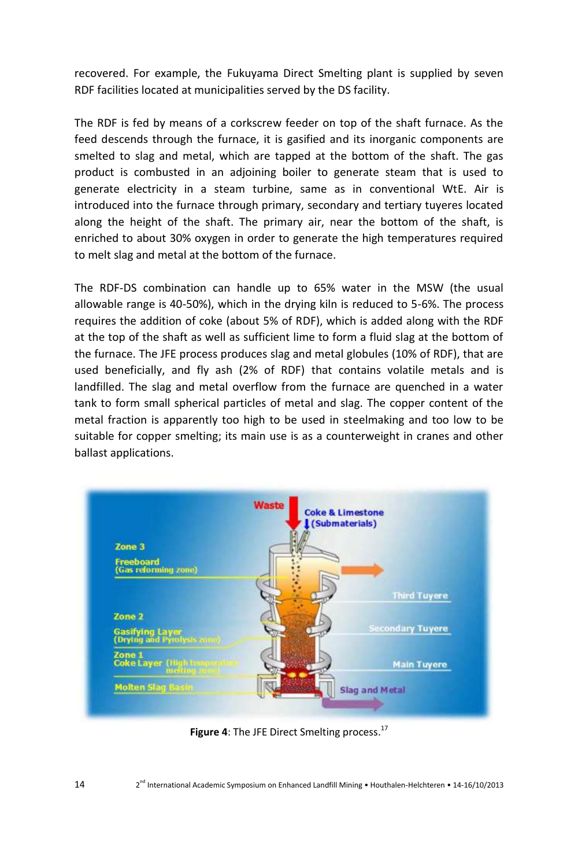recovered. For example, the Fukuyama Direct Smelting plant is supplied by seven RDF facilities located at municipalities served by the DS facility.

The RDF is fed by means of a corkscrew feeder on top of the shaft furnace. As the feed descends through the furnace, it is gasified and its inorganic components are smelted to slag and metal, which are tapped at the bottom of the shaft. The gas product is combusted in an adjoining boiler to generate steam that is used to generate electricity in a steam turbine, same as in conventional WtE. Air is introduced into the furnace through primary, secondary and tertiary tuyeres located along the height of the shaft. The primary air, near the bottom of the shaft, is enriched to about 30% oxygen in order to generate the high temperatures required to melt slag and metal at the bottom of the furnace.

The RDF-DS combination can handle up to 65% water in the MSW (the usual allowable range is 40-50%), which in the drying kiln is reduced to 5-6%. The process requires the addition of coke (about 5% of RDF), which is added along with the RDF at the top of the shaft as well as sufficient lime to form a fluid slag at the bottom of the furnace. The JFE process produces slag and metal globules (10% of RDF), that are used beneficially, and fly ash (2% of RDF) that contains volatile metals and is landfilled. The slag and metal overflow from the furnace are quenched in a water tank to form small spherical particles of metal and slag. The copper content of the metal fraction is apparently too high to be used in steelmaking and too low to be suitable for copper smelting; its main use is as a counterweight in cranes and other ballast applications.



**Figure 4**: The JFE Direct Smelting process. 17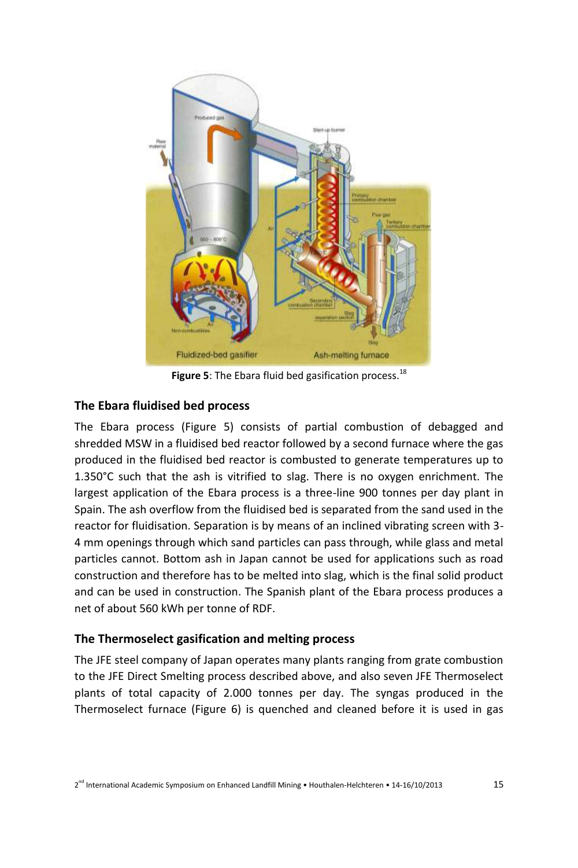

**Figure 5**: The Ebara fluid bed gasification process. 18

#### **The Ebara fluidised bed process**

The Ebara process (Figure 5) consists of partial combustion of debagged and shredded MSW in a fluidised bed reactor followed by a second furnace where the gas produced in the fluidised bed reactor is combusted to generate temperatures up to 1.350°C such that the ash is vitrified to slag. There is no oxygen enrichment. The largest application of the Ebara process is a three-line 900 tonnes per day plant in Spain. The ash overflow from the fluidised bed is separated from the sand used in the reactor for fluidisation. Separation is by means of an inclined vibrating screen with 3- 4 mm openings through which sand particles can pass through, while glass and metal particles cannot. Bottom ash in Japan cannot be used for applications such as road construction and therefore has to be melted into slag, which is the final solid product and can be used in construction. The Spanish plant of the Ebara process produces a net of about 560 kWh per tonne of RDF.

#### **The Thermoselect gasification and melting process**

The JFE steel company of Japan operates many plants ranging from grate combustion to the JFE Direct Smelting process described above, and also seven JFE Thermoselect plants of total capacity of 2.000 tonnes per day. The syngas produced in the Thermoselect furnace (Figure 6) is quenched and cleaned before it is used in gas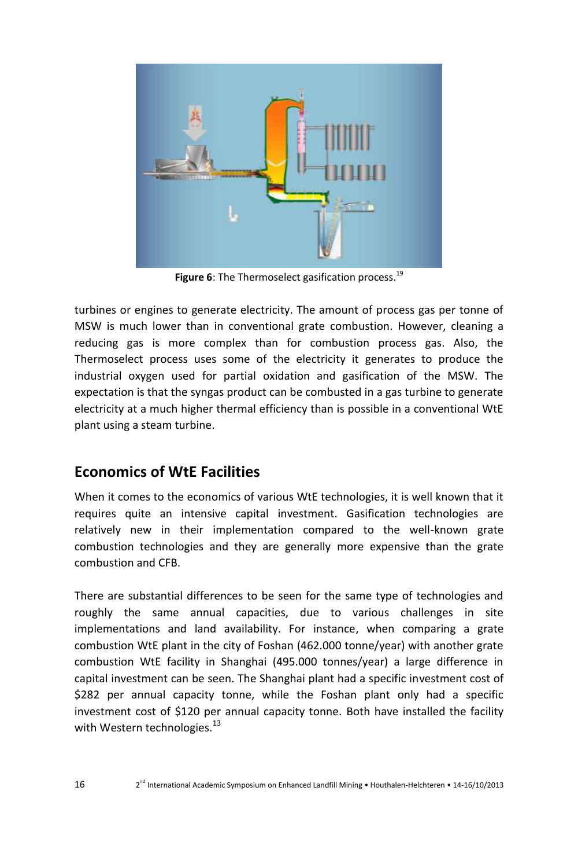

**Figure 6**: The Thermoselect gasification process. 19

turbines or engines to generate electricity. The amount of process gas per tonne of MSW is much lower than in conventional grate combustion. However, cleaning a reducing gas is more complex than for combustion process gas. Also, the Thermoselect process uses some of the electricity it generates to produce the industrial oxygen used for partial oxidation and gasification of the MSW. The expectation is that the syngas product can be combusted in a gas turbine to generate electricity at a much higher thermal efficiency than is possible in a conventional WtE plant using a steam turbine.

# **Economics of WtE Facilities**

When it comes to the economics of various WtE technologies, it is well known that it requires quite an intensive capital investment. Gasification technologies are relatively new in their implementation compared to the well-known grate combustion technologies and they are generally more expensive than the grate combustion and CFB.

There are substantial differences to be seen for the same type of technologies and roughly the same annual capacities, due to various challenges in site implementations and land availability. For instance, when comparing a grate combustion WtE plant in the city of Foshan (462.000 tonne/year) with another grate combustion WtE facility in Shanghai (495.000 tonnes/year) a large difference in capital investment can be seen. The Shanghai plant had a specific investment cost of \$282 per annual capacity tonne, while the Foshan plant only had a specific investment cost of \$120 per annual capacity tonne. Both have installed the facility with Western technologies. $^{13}$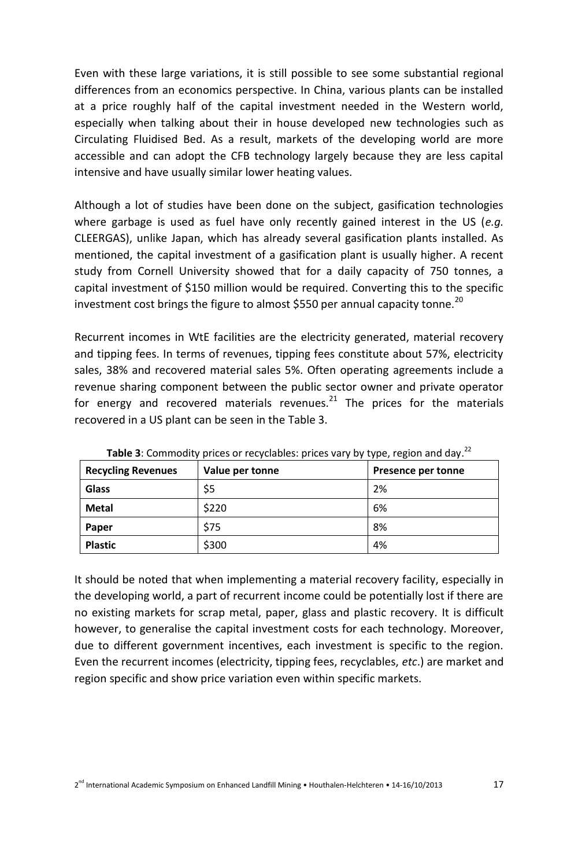Even with these large variations, it is still possible to see some substantial regional differences from an economics perspective. In China, various plants can be installed at a price roughly half of the capital investment needed in the Western world, especially when talking about their in house developed new technologies such as Circulating Fluidised Bed. As a result, markets of the developing world are more accessible and can adopt the CFB technology largely because they are less capital intensive and have usually similar lower heating values.

Although a lot of studies have been done on the subject, gasification technologies where garbage is used as fuel have only recently gained interest in the US (*e.g.* CLEERGAS), unlike Japan, which has already several gasification plants installed. As mentioned, the capital investment of a gasification plant is usually higher. A recent study from Cornell University showed that for a daily capacity of 750 tonnes, a capital investment of \$150 million would be required. Converting this to the specific investment cost brings the figure to almost \$550 per annual capacity tonne.<sup>20</sup>

Recurrent incomes in WtE facilities are the electricity generated, material recovery and tipping fees. In terms of revenues, tipping fees constitute about 57%, electricity sales, 38% and recovered material sales 5%. Often operating agreements include a revenue sharing component between the public sector owner and private operator for energy and recovered materials revenues. $^{21}$  The prices for the materials recovered in a US plant can be seen in the Table 3.

| <b>Recycling Revenues</b> | Value per tonne | Presence per tonne |  |  |
|---------------------------|-----------------|--------------------|--|--|
| Glass                     | \$5             | 2%                 |  |  |
| <b>Metal</b>              | \$220           | 6%                 |  |  |
| Paper                     | \$75            | 8%                 |  |  |
| <b>Plastic</b>            | \$300           | 4%                 |  |  |

Table 3: Commodity prices or recyclables: prices vary by type, region and day.<sup>22</sup>

It should be noted that when implementing a material recovery facility, especially in the developing world, a part of recurrent income could be potentially lost if there are no existing markets for scrap metal, paper, glass and plastic recovery. It is difficult however, to generalise the capital investment costs for each technology. Moreover, due to different government incentives, each investment is specific to the region. Even the recurrent incomes (electricity, tipping fees, recyclables, *etc*.) are market and region specific and show price variation even within specific markets.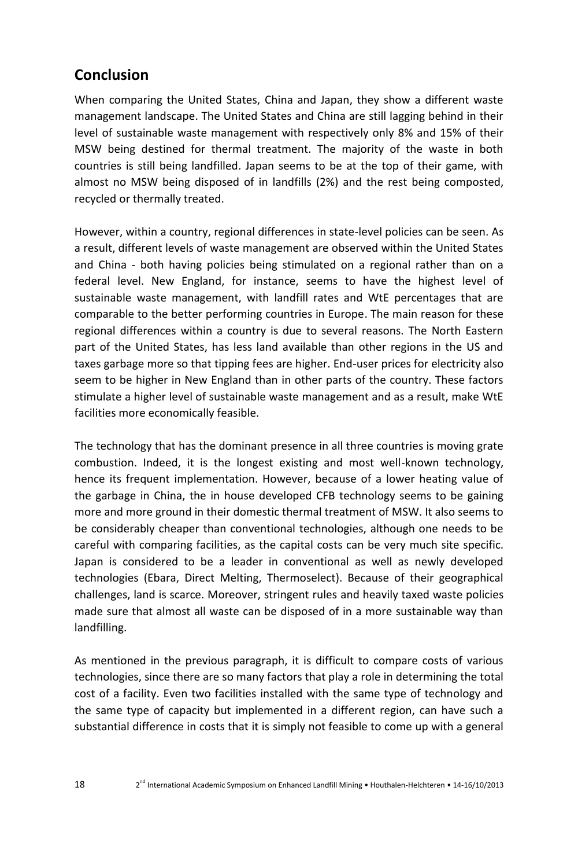# **Conclusion**

When comparing the United States, China and Japan, they show a different waste management landscape. The United States and China are still lagging behind in their level of sustainable waste management with respectively only 8% and 15% of their MSW being destined for thermal treatment. The majority of the waste in both countries is still being landfilled. Japan seems to be at the top of their game, with almost no MSW being disposed of in landfills (2%) and the rest being composted, recycled or thermally treated.

However, within a country, regional differences in state-level policies can be seen. As a result, different levels of waste management are observed within the United States and China - both having policies being stimulated on a regional rather than on a federal level. New England, for instance, seems to have the highest level of sustainable waste management, with landfill rates and WtE percentages that are comparable to the better performing countries in Europe. The main reason for these regional differences within a country is due to several reasons. The North Eastern part of the United States, has less land available than other regions in the US and taxes garbage more so that tipping fees are higher. End-user prices for electricity also seem to be higher in New England than in other parts of the country. These factors stimulate a higher level of sustainable waste management and as a result, make WtE facilities more economically feasible.

The technology that has the dominant presence in all three countries is moving grate combustion. Indeed, it is the longest existing and most well-known technology, hence its frequent implementation. However, because of a lower heating value of the garbage in China, the in house developed CFB technology seems to be gaining more and more ground in their domestic thermal treatment of MSW. It also seems to be considerably cheaper than conventional technologies, although one needs to be careful with comparing facilities, as the capital costs can be very much site specific. Japan is considered to be a leader in conventional as well as newly developed technologies (Ebara, Direct Melting, Thermoselect). Because of their geographical challenges, land is scarce. Moreover, stringent rules and heavily taxed waste policies made sure that almost all waste can be disposed of in a more sustainable way than landfilling.

As mentioned in the previous paragraph, it is difficult to compare costs of various technologies, since there are so many factors that play a role in determining the total cost of a facility. Even two facilities installed with the same type of technology and the same type of capacity but implemented in a different region, can have such a substantial difference in costs that it is simply not feasible to come up with a general